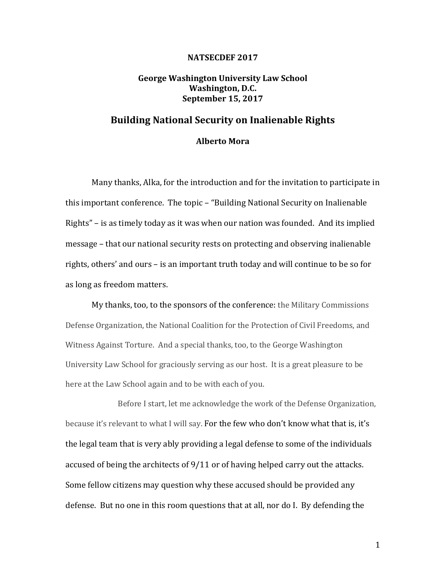#### **NATSECDEF 2017**

# **George Washington University Law School Washington, D.C. September 15, 2017**

# **Building National Security on Inalienable Rights**

# **Alberto Mora**

Many thanks, Alka, for the introduction and for the invitation to participate in this important conference. The topic – "Building National Security on Inalienable Rights" – is as timely today as it was when our nation was founded. And its implied message – that our national security rests on protecting and observing inalienable rights, others' and ours – is an important truth today and will continue to be so for as long as freedom matters.

My thanks, too, to the sponsors of the conference: the Military Commissions Defense Organization, the National Coalition for the Protection of Civil Freedoms, and Witness Against Torture. And a special thanks, too, to the George Washington University Law School for graciously serving as our host. It is a great pleasure to be here at the Law School again and to be with each of you.

Before I start, let me acknowledge the work of the Defense Organization, because it's relevant to what I will say. For the few who don't know what that is, it's the legal team that is very ably providing a legal defense to some of the individuals accused of being the architects of 9/11 or of having helped carry out the attacks. Some fellow citizens may question why these accused should be provided any defense. But no one in this room questions that at all, nor do I. By defending the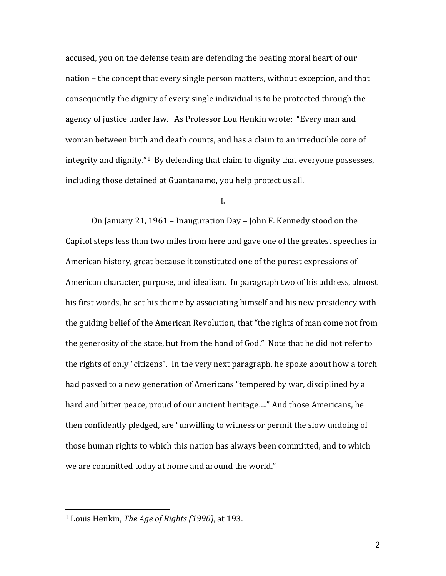accused, you on the defense team are defending the beating moral heart of our nation – the concept that every single person matters, without exception, and that consequently the dignity of every single individual is to be protected through the agency of justice under law. As Professor Lou Henkin wrote: "Every man and woman between birth and death counts, and has a claim to an irreducible core of integrity and dignity."[1](#page-1-0) By defending that claim to dignity that everyone possesses, including those detained at Guantanamo, you help protect us all.

**I.**

On January 21, 1961 – Inauguration Day – John F. Kennedy stood on the Capitol steps less than two miles from here and gave one of the greatest speeches in American history, great because it constituted one of the purest expressions of American character, purpose, and idealism. In paragraph two of his address, almost his first words, he set his theme by associating himself and his new presidency with the guiding belief of the American Revolution, that "the rights of man come not from the generosity of the state, but from the hand of God." Note that he did not refer to the rights of only "citizens". In the very next paragraph, he spoke about how a torch had passed to a new generation of Americans "tempered by war, disciplined by a hard and bitter peace, proud of our ancient heritage…." And those Americans, he then confidently pledged, are "unwilling to witness or permit the slow undoing of those human rights to which this nation has always been committed, and to which we are committed today at home and around the world."

<span id="page-1-0"></span> <sup>1</sup> Louis Henkin, *The Age of Rights (1990)*, at 193.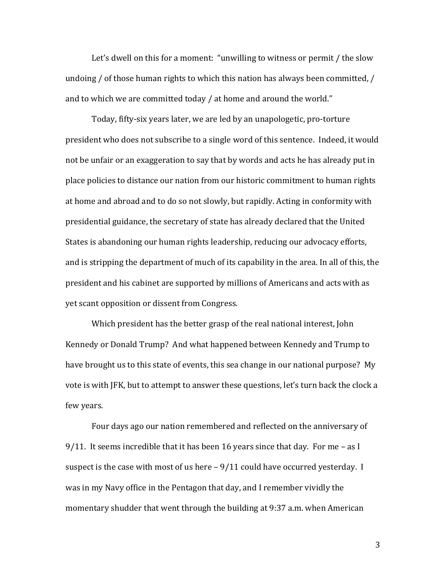Let's dwell on this for a moment: "unwilling to witness or permit / the slow undoing / of those human rights to which this nation has always been committed, / and to which we are committed today / at home and around the world."

Today, fifty-six years later, we are led by an unapologetic, pro-torture president who does not subscribe to a single word of this sentence. Indeed, it would not be unfair or an exaggeration to say that by words and acts he has already put in place policies to distance our nation from our historic commitment to human rights at home and abroad and to do so not slowly, but rapidly. Acting in conformity with presidential guidance, the secretary of state has already declared that the United States is abandoning our human rights leadership, reducing our advocacy efforts, and is stripping the department of much of its capability in the area. In all of this, the president and his cabinet are supported by millions of Americans and acts with as yet scant opposition or dissent from Congress.

Which president has the better grasp of the real national interest, John Kennedy or Donald Trump? And what happened between Kennedy and Trump to have brought us to this state of events, this sea change in our national purpose? My vote is with JFK, but to attempt to answer these questions, let's turn back the clock a few years.

Four days ago our nation remembered and reflected on the anniversary of 9/11. It seems incredible that it has been 16 years since that day. For me – as I suspect is the case with most of us here – 9/11 could have occurred yesterday. I was in my Navy office in the Pentagon that day, and I remember vividly the momentary shudder that went through the building at 9:37 a.m. when American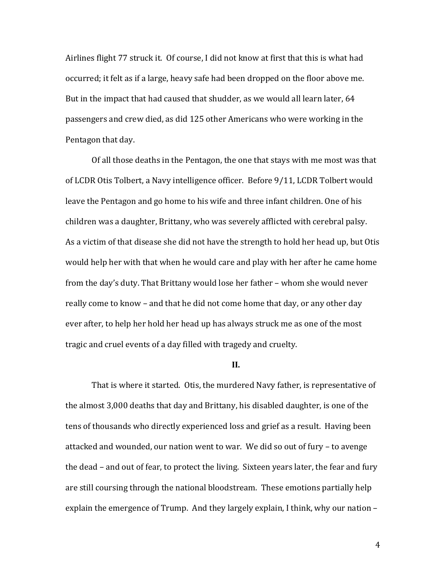Airlines flight 77 struck it. Of course, I did not know at first that this is what had occurred; it felt as if a large, heavy safe had been dropped on the floor above me. But in the impact that had caused that shudder, as we would all learn later, 64 passengers and crew died, as did 125 other Americans who were working in the Pentagon that day.

Of all those deaths in the Pentagon, the one that stays with me most was that of LCDR Otis Tolbert, a Navy intelligence officer. Before 9/11, LCDR Tolbert would leave the Pentagon and go home to his wife and three infant children. One of his children was a daughter, Brittany, who was severely afflicted with cerebral palsy. As a victim of that disease she did not have the strength to hold her head up, but Otis would help her with that when he would care and play with her after he came home from the day's duty. That Brittany would lose her father – whom she would never really come to know – and that he did not come home that day, or any other day ever after, to help her hold her head up has always struck me as one of the most tragic and cruel events of a day filled with tragedy and cruelty.

#### **II.**

That is where it started. Otis, the murdered Navy father, is representative of the almost 3,000 deaths that day and Brittany, his disabled daughter, is one of the tens of thousands who directly experienced loss and grief as a result. Having been attacked and wounded, our nation went to war. We did so out of fury – to avenge the dead – and out of fear, to protect the living. Sixteen years later, the fear and fury are still coursing through the national bloodstream. These emotions partially help explain the emergence of Trump. And they largely explain, I think, why our nation –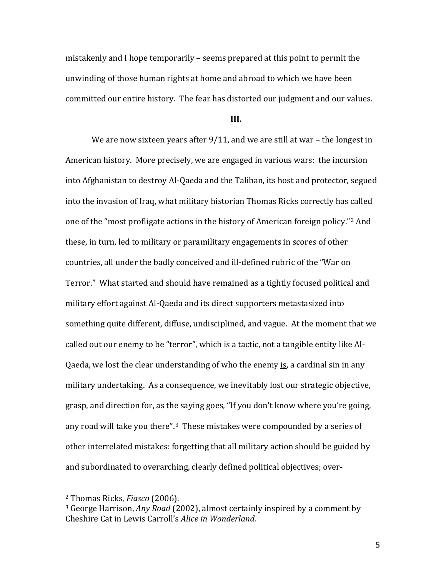mistakenly and I hope temporarily – seems prepared at this point to permit the unwinding of those human rights at home and abroad to which we have been committed our entire history. The fear has distorted our judgment and our values.

**III.**

We are now sixteen years after 9/11, and we are still at war – the longest in American history. More precisely, we are engaged in various wars: the incursion into Afghanistan to destroy Al-Qaeda and the Taliban, its host and protector, segued into the invasion of Iraq, what military historian Thomas Ricks correctly has called one of the "most profligate actions in the history of American foreign policy."[2](#page-4-0) And these, in turn, led to military or paramilitary engagements in scores of other countries, all under the badly conceived and ill-defined rubric of the "War on Terror." What started and should have remained as a tightly focused political and military effort against Al-Qaeda and its direct supporters metastasized into something quite different, diffuse, undisciplined, and vague. At the moment that we called out our enemy to be "terror", which is a tactic, not a tangible entity like Al-Qaeda, we lost the clear understanding of who the enemy is, a cardinal sin in any military undertaking. As a consequence, we inevitably lost our strategic objective, grasp, and direction for, as the saying goes, "If you don't know where you're going, any road will take you there".<sup>[3](#page-4-1)</sup> These mistakes were compounded by a series of other interrelated mistakes: forgetting that all military action should be guided by and subordinated to overarching, clearly defined political objectives; over-

<span id="page-4-0"></span> <sup>2</sup> Thomas Ricks, *Fiasco* (2006).

<span id="page-4-1"></span><sup>3</sup> George Harrison, *Any Road* (2002), almost certainly inspired by a comment by Cheshire Cat in Lewis Carroll's *Alice in Wonderland.*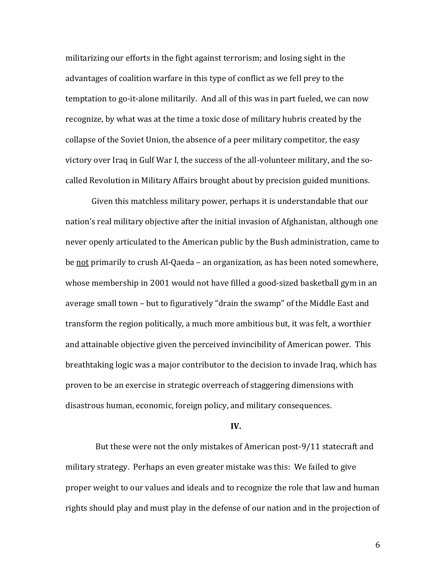militarizing our efforts in the fight against terrorism; and losing sight in the advantages of coalition warfare in this type of conflict as we fell prey to the temptation to go-it-alone militarily. And all of this was in part fueled, we can now recognize, by what was at the time a toxic dose of military hubris created by the collapse of the Soviet Union, the absence of a peer military competitor, the easy victory over Iraq in Gulf War I, the success of the all-volunteer military, and the socalled Revolution in Military Affairs brought about by precision guided munitions.

Given this matchless military power, perhaps it is understandable that our nation's real military objective after the initial invasion of Afghanistan, although one never openly articulated to the American public by the Bush administration, came to be not primarily to crush Al-Qaeda – an organization, as has been noted somewhere, whose membership in 2001 would not have filled a good-sized basketball gym in an average small town – but to figuratively "drain the swamp" of the Middle East and transform the region politically, a much more ambitious but, it was felt, a worthier and attainable objective given the perceived invincibility of American power. This breathtaking logic was a major contributor to the decision to invade Iraq, which has proven to be an exercise in strategic overreach of staggering dimensions with disastrous human, economic, foreign policy, and military consequences.

#### **IV.**

 But these were not the only mistakes of American post-9/11 statecraft and military strategy. Perhaps an even greater mistake was this: We failed to give proper weight to our values and ideals and to recognize the role that law and human rights should play and must play in the defense of our nation and in the projection of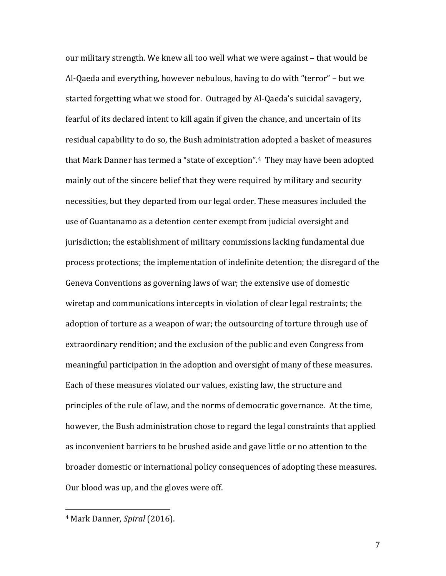our military strength. We knew all too well what we were against – that would be Al-Qaeda and everything, however nebulous, having to do with "terror" – but we started forgetting what we stood for. Outraged by Al-Qaeda's suicidal savagery, fearful of its declared intent to kill again if given the chance, and uncertain of its residual capability to do so, the Bush administration adopted a basket of measures that Mark Danner has termed a "state of exception". [4](#page-6-0) They may have been adopted mainly out of the sincere belief that they were required by military and security necessities, but they departed from our legal order. These measures included the use of Guantanamo as a detention center exempt from judicial oversight and jurisdiction; the establishment of military commissions lacking fundamental due process protections; the implementation of indefinite detention; the disregard of the Geneva Conventions as governing laws of war; the extensive use of domestic wiretap and communications intercepts in violation of clear legal restraints; the adoption of torture as a weapon of war; the outsourcing of torture through use of extraordinary rendition; and the exclusion of the public and even Congress from meaningful participation in the adoption and oversight of many of these measures. Each of these measures violated our values, existing law, the structure and principles of the rule of law, and the norms of democratic governance. At the time, however, the Bush administration chose to regard the legal constraints that applied as inconvenient barriers to be brushed aside and gave little or no attention to the broader domestic or international policy consequences of adopting these measures. Our blood was up, and the gloves were off.

<span id="page-6-0"></span> <sup>4</sup> Mark Danner, *Spiral* (2016).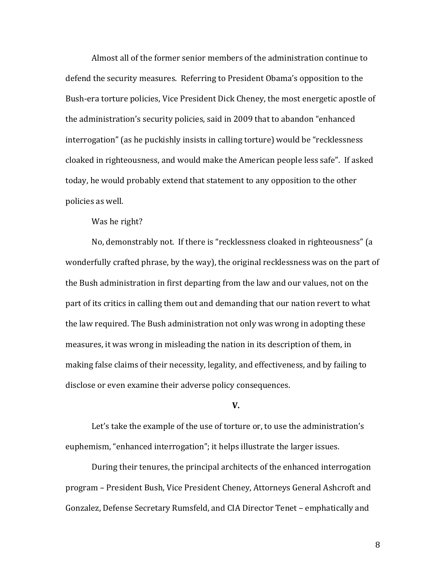Almost all of the former senior members of the administration continue to defend the security measures. Referring to President Obama's opposition to the Bush-era torture policies, Vice President Dick Cheney, the most energetic apostle of the administration's security policies, said in 2009 that to abandon "enhanced interrogation" (as he puckishly insists in calling torture) would be "recklessness cloaked in righteousness, and would make the American people less safe". If asked today, he would probably extend that statement to any opposition to the other policies as well.

## Was he right?

No, demonstrably not. If there is "recklessness cloaked in righteousness" (a wonderfully crafted phrase, by the way), the original recklessness was on the part of the Bush administration in first departing from the law and our values, not on the part of its critics in calling them out and demanding that our nation revert to what the law required. The Bush administration not only was wrong in adopting these measures, it was wrong in misleading the nation in its description of them, in making false claims of their necessity, legality, and effectiveness, and by failing to disclose or even examine their adverse policy consequences.

## **V.**

Let's take the example of the use of torture or, to use the administration's euphemism, "enhanced interrogation"; it helps illustrate the larger issues.

During their tenures, the principal architects of the enhanced interrogation program – President Bush, Vice President Cheney, Attorneys General Ashcroft and Gonzalez, Defense Secretary Rumsfeld, and CIA Director Tenet – emphatically and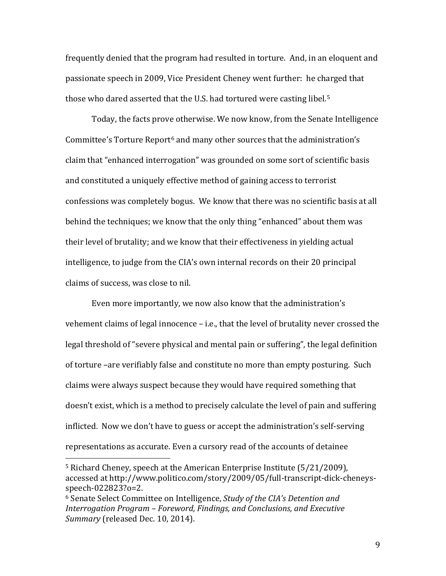frequently denied that the program had resulted in torture. And, in an eloquent and passionate speech in 2009, Vice President Cheney went further: he charged that those who dared asserted that the U.S. had tortured were casting libel.<sup>[5](#page-8-0)</sup>

Today, the facts prove otherwise. We now know, from the Senate Intelligence Committee's Torture Report<sup>[6](#page-8-1)</sup> and many other sources that the administration's claim that "enhanced interrogation" was grounded on some sort of scientific basis and constituted a uniquely effective method of gaining access to terrorist confessions was completely bogus. We know that there was no scientific basis at all behind the techniques; we know that the only thing "enhanced" about them was their level of brutality; and we know that their effectiveness in yielding actual intelligence, to judge from the CIA's own internal records on their 20 principal claims of success, was close to nil.

Even more importantly, we now also know that the administration's vehement claims of legal innocence – i.e., that the level of brutality never crossed the legal threshold of "severe physical and mental pain or suffering", the legal definition of torture –are verifiably false and constitute no more than empty posturing. Such claims were always suspect because they would have required something that doesn't exist, which is a method to precisely calculate the level of pain and suffering inflicted. Now we don't have to guess or accept the administration's self-serving representations as accurate. Even a cursory read of the accounts of detainee

<span id="page-8-0"></span> <sup>5</sup> Richard Cheney, speech at the American Enterprise Institute (5/21/2009), accessed at http://www.politico.com/story/2009/05/full-transcript-dick-cheneysspeech-022823?o=2.

<span id="page-8-1"></span><sup>6</sup> Senate Select Committee on Intelligence, *Study of the CIA's Detention and Interrogation Program – Foreword, Findings, and Conclusions, and Executive Summary* (released Dec. 10, 2014).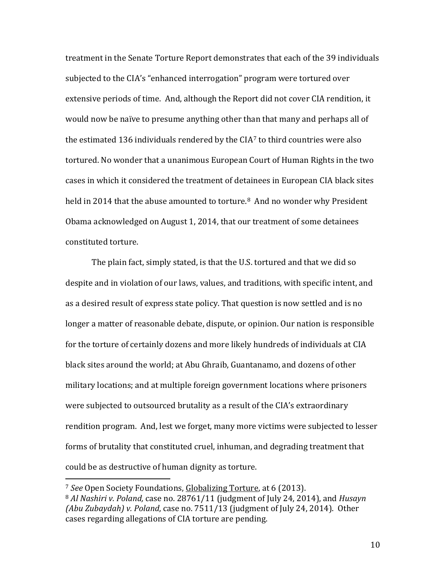treatment in the Senate Torture Report demonstrates that each of the 39 individuals subjected to the CIA's "enhanced interrogation" program were tortured over extensive periods of time. And, although the Report did not cover CIA rendition, it would now be naïve to presume anything other than that many and perhaps all of the estimated 136 individuals rendered by the  $CIA<sup>7</sup>$  $CIA<sup>7</sup>$  $CIA<sup>7</sup>$  to third countries were also tortured. No wonder that a unanimous European Court of Human Rights in the two cases in which it considered the treatment of detainees in European CIA black sites held in 2014 that the abuse amounted to torture.<sup>[8](#page-9-1)</sup> And no wonder why President Obama acknowledged on August 1, 2014, that our treatment of some detainees constituted torture.

The plain fact, simply stated, is that the U.S. tortured and that we did so despite and in violation of our laws, values, and traditions, with specific intent, and as a desired result of express state policy. That question is now settled and is no longer a matter of reasonable debate, dispute, or opinion. Our nation is responsible for the torture of certainly dozens and more likely hundreds of individuals at CIA black sites around the world; at Abu Ghraib, Guantanamo, and dozens of other military locations; and at multiple foreign government locations where prisoners were subjected to outsourced brutality as a result of the CIA's extraordinary rendition program. And, lest we forget, many more victims were subjected to lesser forms of brutality that constituted cruel, inhuman, and degrading treatment that could be as destructive of human dignity as torture.

<span id="page-9-0"></span> <sup>7</sup> *See* Open Society Foundations, Globalizing Torture, at 6 (2013).

<span id="page-9-1"></span><sup>8</sup> *Al Nashiri v. Poland,* case no. 28761/11 (judgment of July 24, 2014), and *Husayn (Abu Zubaydah) v. Poland*, case no. 7511/13 (judgment of July 24, 2014). Other cases regarding allegations of CIA torture are pending.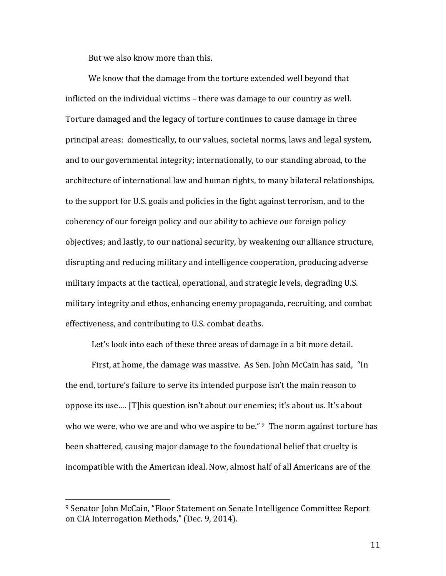But we also know more than this.

We know that the damage from the torture extended well beyond that inflicted on the individual victims – there was damage to our country as well. Torture damaged and the legacy of torture continues to cause damage in three principal areas: domestically, to our values, societal norms, laws and legal system, and to our governmental integrity; internationally, to our standing abroad, to the architecture of international law and human rights, to many bilateral relationships, to the support for U.S. goals and policies in the fight against terrorism, and to the coherency of our foreign policy and our ability to achieve our foreign policy objectives; and lastly, to our national security, by weakening our alliance structure, disrupting and reducing military and intelligence cooperation, producing adverse military impacts at the tactical, operational, and strategic levels, degrading U.S. military integrity and ethos, enhancing enemy propaganda, recruiting, and combat effectiveness, and contributing to U.S. combat deaths.

Let's look into each of these three areas of damage in a bit more detail.

First, at home, the damage was massive. As Sen. John McCain has said, "In the end, torture's failure to serve its intended purpose isn't the main reason to oppose its use…. [T]his question isn't about our enemies; it's about us. It's about who we were, who we are and who we aspire to be."  $9$  The norm against torture has been shattered, causing major damage to the foundational belief that cruelty is incompatible with the American ideal. Now, almost half of all Americans are of the

<span id="page-10-0"></span> <sup>9</sup> Senator John McCain, "Floor Statement on Senate Intelligence Committee Report on CIA Interrogation Methods," (Dec. 9, 2014).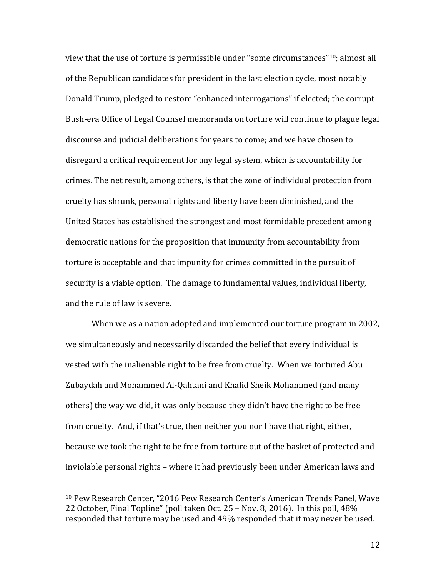view that the use of torture is permissible under "some circumstances"[10](#page-11-0); almost all of the Republican candidates for president in the last election cycle, most notably Donald Trump, pledged to restore "enhanced interrogations" if elected; the corrupt Bush-era Office of Legal Counsel memoranda on torture will continue to plague legal discourse and judicial deliberations for years to come; and we have chosen to disregard a critical requirement for any legal system, which is accountability for crimes. The net result, among others, is that the zone of individual protection from cruelty has shrunk, personal rights and liberty have been diminished, and the United States has established the strongest and most formidable precedent among democratic nations for the proposition that immunity from accountability from torture is acceptable and that impunity for crimes committed in the pursuit of security is a viable option. The damage to fundamental values, individual liberty, and the rule of law is severe.

When we as a nation adopted and implemented our torture program in 2002, we simultaneously and necessarily discarded the belief that every individual is vested with the inalienable right to be free from cruelty. When we tortured Abu Zubaydah and Mohammed Al-Qahtani and Khalid Sheik Mohammed (and many others) the way we did, it was only because they didn't have the right to be free from cruelty. And, if that's true, then neither you nor I have that right, either, because we took the right to be free from torture out of the basket of protected and inviolable personal rights – where it had previously been under American laws and

<span id="page-11-0"></span> <sup>10</sup> Pew Research Center, "2016 Pew Research Center's American Trends Panel, Wave 22 October, Final Topline" (poll taken Oct. 25 – Nov. 8, 2016). In this poll, 48% responded that torture may be used and 49% responded that it may never be used.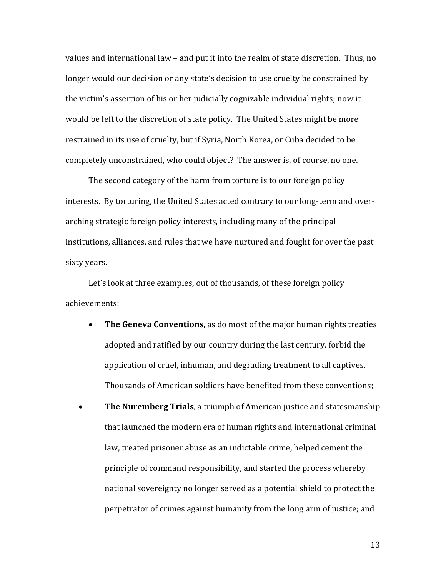values and international law – and put it into the realm of state discretion. Thus, no longer would our decision or any state's decision to use cruelty be constrained by the victim's assertion of his or her judicially cognizable individual rights; now it would be left to the discretion of state policy. The United States might be more restrained in its use of cruelty, but if Syria, North Korea, or Cuba decided to be completely unconstrained, who could object? The answer is, of course, no one.

The second category of the harm from torture is to our foreign policy interests. By torturing, the United States acted contrary to our long-term and overarching strategic foreign policy interests, including many of the principal institutions, alliances, and rules that we have nurtured and fought for over the past sixty years.

Let's look at three examples, out of thousands, of these foreign policy achievements:

- **The Geneva Conventions**, as do most of the major human rights treaties adopted and ratified by our country during the last century, forbid the application of cruel, inhuman, and degrading treatment to all captives. Thousands of American soldiers have benefited from these conventions;
- **The Nuremberg Trials**, a triumph of American justice and statesmanship that launched the modern era of human rights and international criminal law, treated prisoner abuse as an indictable crime, helped cement the principle of command responsibility, and started the process whereby national sovereignty no longer served as a potential shield to protect the perpetrator of crimes against humanity from the long arm of justice; and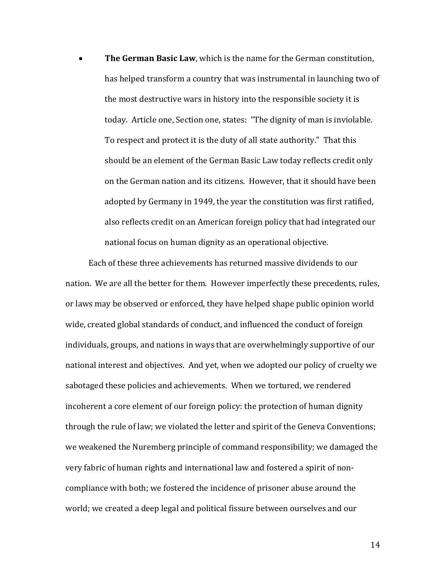• **The German Basic Law**, which is the name for the German constitution, has helped transform a country that was instrumental in launching two of the most destructive wars in history into the responsible society it is today. Article one, Section one, states: "The dignity of man is inviolable. To respect and protect it is the duty of all state authority." That this should be an element of the German Basic Law today reflects credit only on the German nation and its citizens. However, that it should have been adopted by Germany in 1949, the year the constitution was first ratified, also reflects credit on an American foreign policy that had integrated our national focus on human dignity as an operational objective.

Each of these three achievements has returned massive dividends to our nation. We are all the better for them. However imperfectly these precedents, rules, or laws may be observed or enforced, they have helped shape public opinion world wide, created global standards of conduct, and influenced the conduct of foreign individuals, groups, and nations in ways that are overwhelmingly supportive of our national interest and objectives. And yet, when we adopted our policy of cruelty we sabotaged these policies and achievements. When we tortured, we rendered incoherent a core element of our foreign policy: the protection of human dignity through the rule of law; we violated the letter and spirit of the Geneva Conventions; we weakened the Nuremberg principle of command responsibility; we damaged the very fabric of human rights and international law and fostered a spirit of noncompliance with both; we fostered the incidence of prisoner abuse around the world; we created a deep legal and political fissure between ourselves and our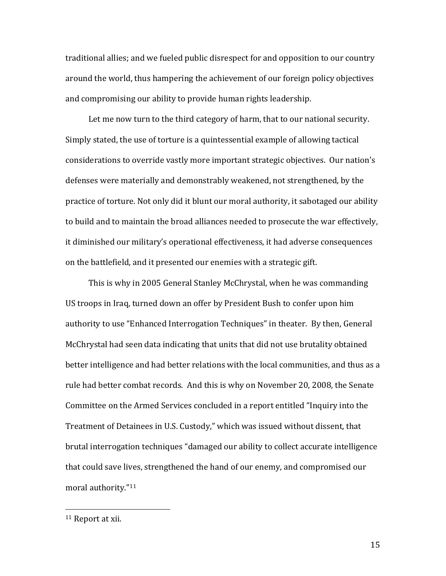traditional allies; and we fueled public disrespect for and opposition to our country around the world, thus hampering the achievement of our foreign policy objectives and compromising our ability to provide human rights leadership.

Let me now turn to the third category of harm, that to our national security. Simply stated, the use of torture is a quintessential example of allowing tactical considerations to override vastly more important strategic objectives. Our nation's defenses were materially and demonstrably weakened, not strengthened, by the practice of torture. Not only did it blunt our moral authority, it sabotaged our ability to build and to maintain the broad alliances needed to prosecute the war effectively, it diminished our military's operational effectiveness, it had adverse consequences on the battlefield, and it presented our enemies with a strategic gift.

This is why in 2005 General Stanley McChrystal, when he was commanding US troops in Iraq, turned down an offer by President Bush to confer upon him authority to use "Enhanced Interrogation Techniques" in theater. By then, General McChrystal had seen data indicating that units that did not use brutality obtained better intelligence and had better relations with the local communities, and thus as a rule had better combat records. And this is why on November 20, 2008, the Senate Committee on the Armed Services concluded in a report entitled "Inquiry into the Treatment of Detainees in U.S. Custody," which was issued without dissent, that brutal interrogation techniques "damaged our ability to collect accurate intelligence that could save lives, strengthened the hand of our enemy, and compromised our moral authority.["11](#page-14-0)

<span id="page-14-0"></span> <sup>11</sup> Report at xii.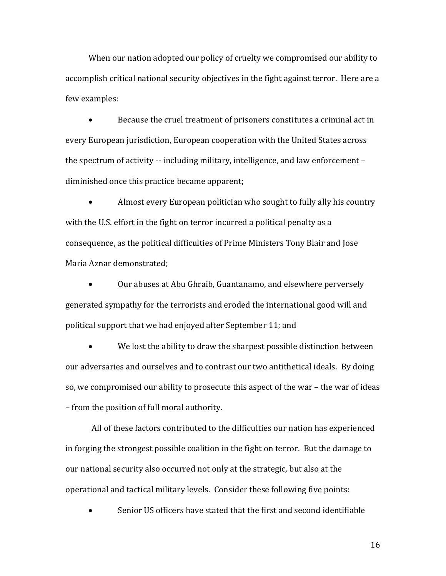When our nation adopted our policy of cruelty we compromised our ability to accomplish critical national security objectives in the fight against terror. Here are a few examples:

• Because the cruel treatment of prisoners constitutes a criminal act in every European jurisdiction, European cooperation with the United States across the spectrum of activity -- including military, intelligence, and law enforcement – diminished once this practice became apparent;

• Almost every European politician who sought to fully ally his country with the U.S. effort in the fight on terror incurred a political penalty as a consequence, as the political difficulties of Prime Ministers Tony Blair and Jose Maria Aznar demonstrated;

• Our abuses at Abu Ghraib, Guantanamo, and elsewhere perversely generated sympathy for the terrorists and eroded the international good will and political support that we had enjoyed after September 11; and

• We lost the ability to draw the sharpest possible distinction between our adversaries and ourselves and to contrast our two antithetical ideals. By doing so, we compromised our ability to prosecute this aspect of the war – the war of ideas – from the position of full moral authority.

All of these factors contributed to the difficulties our nation has experienced in forging the strongest possible coalition in the fight on terror. But the damage to our national security also occurred not only at the strategic, but also at the operational and tactical military levels. Consider these following five points:

• Senior US officers have stated that the first and second identifiable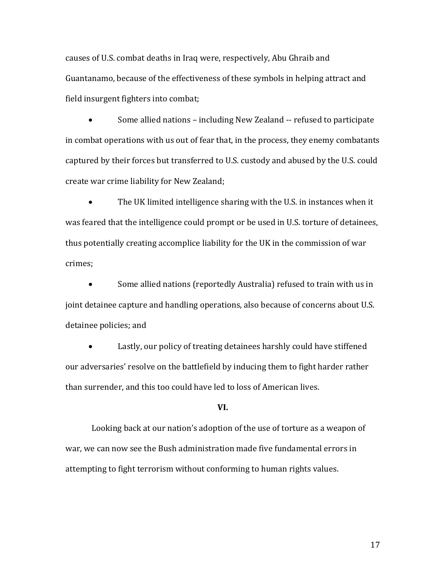causes of U.S. combat deaths in Iraq were, respectively, Abu Ghraib and Guantanamo, because of the effectiveness of these symbols in helping attract and field insurgent fighters into combat;

• Some allied nations – including New Zealand -- refused to participate in combat operations with us out of fear that, in the process, they enemy combatants captured by their forces but transferred to U.S. custody and abused by the U.S. could create war crime liability for New Zealand;

• The UK limited intelligence sharing with the U.S. in instances when it was feared that the intelligence could prompt or be used in U.S. torture of detainees, thus potentially creating accomplice liability for the UK in the commission of war crimes;

• Some allied nations (reportedly Australia) refused to train with us in joint detainee capture and handling operations, also because of concerns about U.S. detainee policies; and

Lastly, our policy of treating detainees harshly could have stiffened our adversaries' resolve on the battlefield by inducing them to fight harder rather than surrender, and this too could have led to loss of American lives.

### **VI.**

Looking back at our nation's adoption of the use of torture as a weapon of war, we can now see the Bush administration made five fundamental errors in attempting to fight terrorism without conforming to human rights values.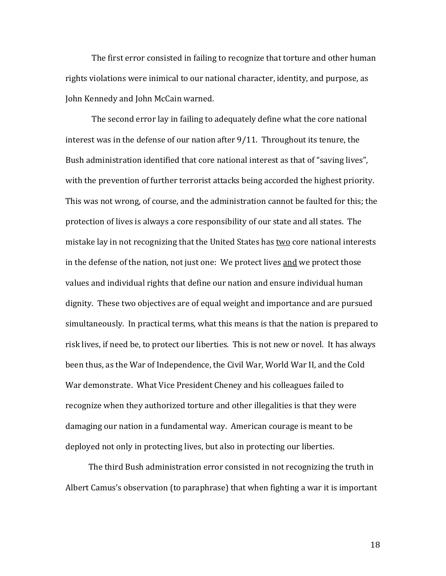The first error consisted in failing to recognize that torture and other human rights violations were inimical to our national character, identity, and purpose, as John Kennedy and John McCain warned.

The second error lay in failing to adequately define what the core national interest was in the defense of our nation after 9/11. Throughout its tenure, the Bush administration identified that core national interest as that of "saving lives", with the prevention of further terrorist attacks being accorded the highest priority. This was not wrong, of course, and the administration cannot be faulted for this; the protection of lives is always a core responsibility of our state and all states. The mistake lay in not recognizing that the United States has two core national interests in the defense of the nation, not just one: We protect lives and we protect those values and individual rights that define our nation and ensure individual human dignity. These two objectives are of equal weight and importance and are pursued simultaneously. In practical terms, what this means is that the nation is prepared to risk lives, if need be, to protect our liberties. This is not new or novel. It has always been thus, as the War of Independence, the Civil War, World War II, and the Cold War demonstrate. What Vice President Cheney and his colleagues failed to recognize when they authorized torture and other illegalities is that they were damaging our nation in a fundamental way. American courage is meant to be deployed not only in protecting lives, but also in protecting our liberties.

The third Bush administration error consisted in not recognizing the truth in Albert Camus's observation (to paraphrase) that when fighting a war it is important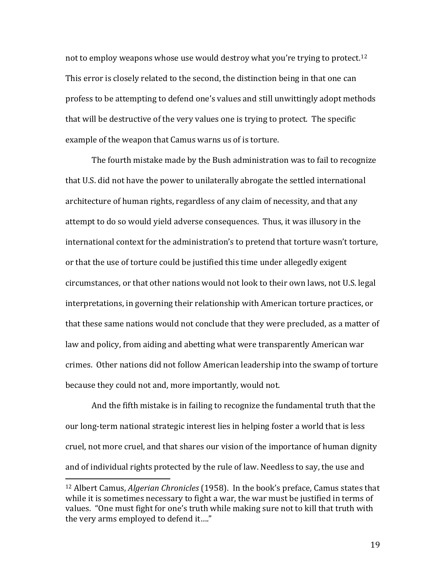not to employ weapons whose use would destroy what you're trying to protect.<sup>12</sup> This error is closely related to the second, the distinction being in that one can profess to be attempting to defend one's values and still unwittingly adopt methods that will be destructive of the very values one is trying to protect. The specific example of the weapon that Camus warns us of is torture.

The fourth mistake made by the Bush administration was to fail to recognize that U.S. did not have the power to unilaterally abrogate the settled international architecture of human rights, regardless of any claim of necessity, and that any attempt to do so would yield adverse consequences. Thus, it was illusory in the international context for the administration's to pretend that torture wasn't torture, or that the use of torture could be justified this time under allegedly exigent circumstances, or that other nations would not look to their own laws, not U.S. legal interpretations, in governing their relationship with American torture practices, or that these same nations would not conclude that they were precluded, as a matter of law and policy, from aiding and abetting what were transparently American war crimes. Other nations did not follow American leadership into the swamp of torture because they could not and, more importantly, would not.

And the fifth mistake is in failing to recognize the fundamental truth that the our long-term national strategic interest lies in helping foster a world that is less cruel, not more cruel, and that shares our vision of the importance of human dignity and of individual rights protected by the rule of law. Needless to say, the use and

<span id="page-18-0"></span> <sup>12</sup> Albert Camus, *Algerian Chronicles* (1958). In the book's preface, Camus states that while it is sometimes necessary to fight a war, the war must be justified in terms of values. "One must fight for one's truth while making sure not to kill that truth with the very arms employed to defend it…."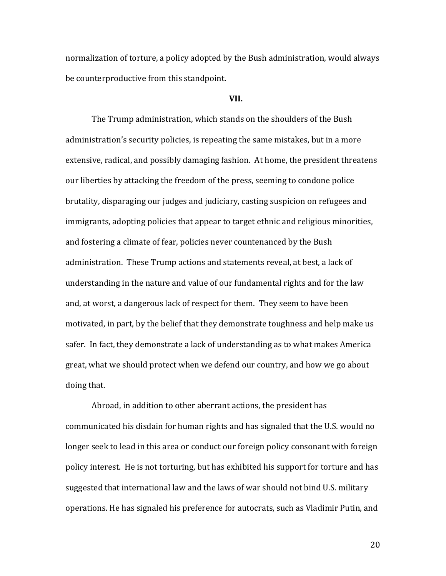normalization of torture, a policy adopted by the Bush administration, would always be counterproductive from this standpoint.

#### **VII.**

The Trump administration, which stands on the shoulders of the Bush administration's security policies, is repeating the same mistakes, but in a more extensive, radical, and possibly damaging fashion. At home, the president threatens our liberties by attacking the freedom of the press, seeming to condone police brutality, disparaging our judges and judiciary, casting suspicion on refugees and immigrants, adopting policies that appear to target ethnic and religious minorities, and fostering a climate of fear, policies never countenanced by the Bush administration. These Trump actions and statements reveal, at best, a lack of understanding in the nature and value of our fundamental rights and for the law and, at worst, a dangerous lack of respect for them. They seem to have been motivated, in part, by the belief that they demonstrate toughness and help make us safer. In fact, they demonstrate a lack of understanding as to what makes America great, what we should protect when we defend our country, and how we go about doing that.

Abroad, in addition to other aberrant actions, the president has communicated his disdain for human rights and has signaled that the U.S. would no longer seek to lead in this area or conduct our foreign policy consonant with foreign policy interest. He is not torturing, but has exhibited his support for torture and has suggested that international law and the laws of war should not bind U.S. military operations. He has signaled his preference for autocrats, such as Vladimir Putin, and